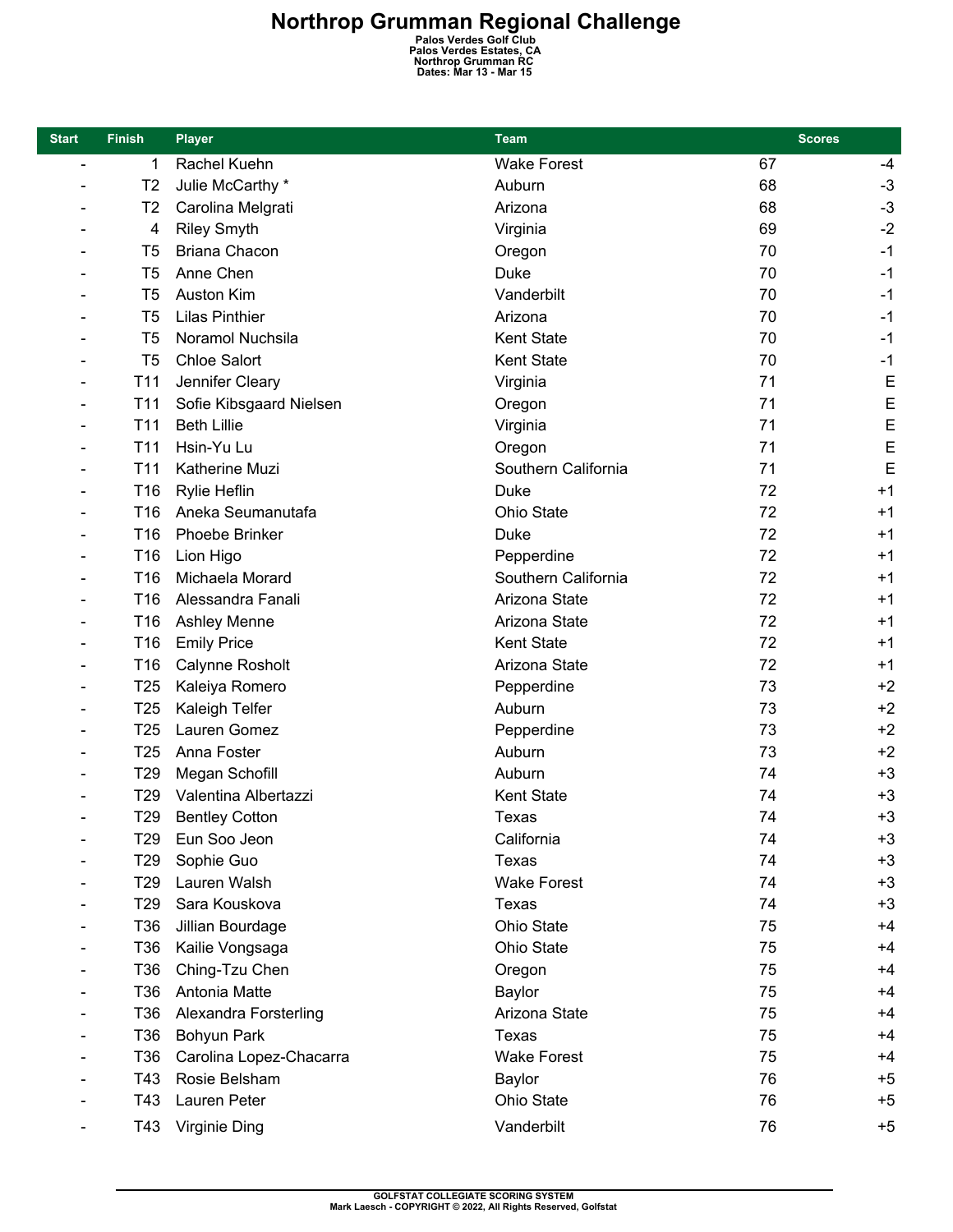| <b>Start</b>   | <b>Finish</b>   | <b>Player</b>           | Team                | <b>Scores</b> |      |  |
|----------------|-----------------|-------------------------|---------------------|---------------|------|--|
| $\blacksquare$ | 1               | Rachel Kuehn            | <b>Wake Forest</b>  | 67            | -4   |  |
|                | T <sub>2</sub>  | Julie McCarthy *        | Auburn              | 68            | $-3$ |  |
|                | T <sub>2</sub>  | Carolina Melgrati       | Arizona             | 68            | $-3$ |  |
|                | 4               | <b>Riley Smyth</b>      | Virginia            | 69            | $-2$ |  |
|                | T <sub>5</sub>  | Briana Chacon           | Oregon              | 70            | $-1$ |  |
|                | T <sub>5</sub>  | Anne Chen               | <b>Duke</b>         | 70            | $-1$ |  |
|                | T <sub>5</sub>  | <b>Auston Kim</b>       | Vanderbilt          | 70            | $-1$ |  |
|                | T <sub>5</sub>  | <b>Lilas Pinthier</b>   | Arizona             | 70            | $-1$ |  |
|                | T <sub>5</sub>  | Noramol Nuchsila        | <b>Kent State</b>   | 70            | $-1$ |  |
|                | T <sub>5</sub>  | <b>Chloe Salort</b>     | <b>Kent State</b>   | 70            | $-1$ |  |
|                | T <sub>11</sub> | Jennifer Cleary         | Virginia            | 71            | E    |  |
|                | T <sub>11</sub> | Sofie Kibsgaard Nielsen | Oregon              | 71            | E    |  |
|                | T <sub>11</sub> | <b>Beth Lillie</b>      | Virginia            | 71            | E    |  |
|                | T <sub>11</sub> | Hsin-Yu Lu              | Oregon              | 71            | E    |  |
|                | T11             | Katherine Muzi          | Southern California | 71            | E    |  |
|                | T <sub>16</sub> | Rylie Heflin            | <b>Duke</b>         | 72            | $+1$ |  |
|                | T <sub>16</sub> | Aneka Seumanutafa       | <b>Ohio State</b>   | 72            | $+1$ |  |
|                | T16             | <b>Phoebe Brinker</b>   | <b>Duke</b>         | 72            | $+1$ |  |
|                | T <sub>16</sub> | Lion Higo               | Pepperdine          | 72            | $+1$ |  |
|                | T16             | Michaela Morard         | Southern California | 72            | $+1$ |  |
|                | T16             | Alessandra Fanali       | Arizona State       | 72            | $+1$ |  |
|                | T <sub>16</sub> | <b>Ashley Menne</b>     | Arizona State       | 72            | $+1$ |  |
|                | T <sub>16</sub> | <b>Emily Price</b>      | <b>Kent State</b>   | 72            | $+1$ |  |
|                | T16             | Calynne Rosholt         | Arizona State       | 72            | $+1$ |  |
|                | T <sub>25</sub> | Kaleiya Romero          | Pepperdine          | 73            | $+2$ |  |
|                | T <sub>25</sub> | Kaleigh Telfer          | Auburn              | 73            | $+2$ |  |
|                | T <sub>25</sub> | Lauren Gomez            | Pepperdine          | 73            | $+2$ |  |
|                | T <sub>25</sub> | Anna Foster             | Auburn              | 73            | $+2$ |  |
|                | T <sub>29</sub> | Megan Schofill          | Auburn              | 74            | $+3$ |  |
|                | T <sub>29</sub> | Valentina Albertazzi    | <b>Kent State</b>   | 74            | $+3$ |  |
|                | T <sub>29</sub> | <b>Bentley Cotton</b>   | Texas               | 74            | $+3$ |  |
|                | T29             | Eun Soo Jeon            | California          | 74            | $+3$ |  |
|                | T <sub>29</sub> | Sophie Guo              | Texas               | 74            | $+3$ |  |
|                | T <sub>29</sub> | Lauren Walsh            | <b>Wake Forest</b>  | 74            | $+3$ |  |
|                | T <sub>29</sub> | Sara Kouskova           | Texas               | 74            | $+3$ |  |
|                | T36             | Jillian Bourdage        | Ohio State          | 75            | $+4$ |  |
|                | T36             | Kailie Vongsaga         | Ohio State          | 75            | $+4$ |  |
|                | T36             | Ching-Tzu Chen          | Oregon              | 75            | $+4$ |  |
|                | T36             | Antonia Matte           | <b>Baylor</b>       | 75            | $+4$ |  |
|                | T36             | Alexandra Forsterling   | Arizona State       | 75            | $+4$ |  |
|                | T36             | Bohyun Park             | Texas               | 75            | $+4$ |  |
|                | T36             | Carolina Lopez-Chacarra | <b>Wake Forest</b>  | 75            | $+4$ |  |
|                | T43             | Rosie Belsham           | Baylor              | 76            | $+5$ |  |
|                | T43             | Lauren Peter            | Ohio State          | 76            | $+5$ |  |
|                | T43             | Virginie Ding           | Vanderbilt          | 76            | $+5$ |  |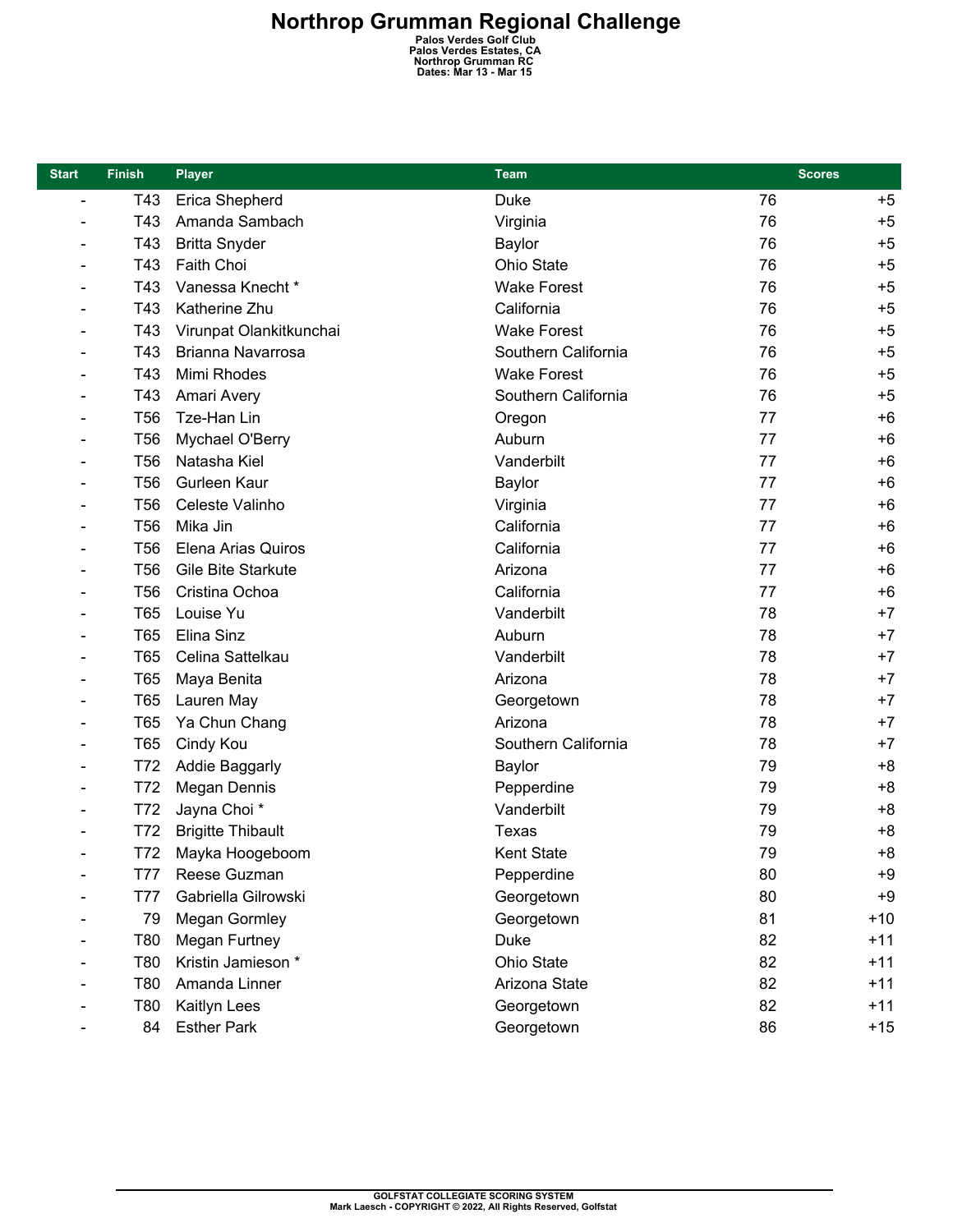| <b>Start</b>   | <b>Finish</b>   | <b>Player</b>            | <b>Team</b>         | <b>Scores</b> |       |  |
|----------------|-----------------|--------------------------|---------------------|---------------|-------|--|
| $\overline{a}$ | T43             | Erica Shepherd           | Duke                | 76            | $+5$  |  |
|                | T43             | Amanda Sambach           | Virginia            | 76            | $+5$  |  |
|                | T43             | <b>Britta Snyder</b>     | <b>Baylor</b>       | 76            | $+5$  |  |
|                | T43             | Faith Choi               | Ohio State          | 76            | $+5$  |  |
|                | T43             | Vanessa Knecht *         | <b>Wake Forest</b>  | 76            | $+5$  |  |
|                | T43             | Katherine Zhu            | California          | 76            | $+5$  |  |
|                | T43             | Virunpat Olankitkunchai  | <b>Wake Forest</b>  | 76            | $+5$  |  |
|                | T43             | Brianna Navarrosa        | Southern California | 76            | $+5$  |  |
|                | T43             | Mimi Rhodes              | <b>Wake Forest</b>  | 76            | $+5$  |  |
|                | T43             | Amari Avery              | Southern California | 76            | $+5$  |  |
|                | <b>T56</b>      | Tze-Han Lin              | Oregon              | 77            | $+6$  |  |
|                | <b>T56</b>      | Mychael O'Berry          | Auburn              | 77            | $+6$  |  |
|                | <b>T56</b>      | Natasha Kiel             | Vanderbilt          | 77            | $+6$  |  |
|                | T <sub>56</sub> | Gurleen Kaur             | <b>Baylor</b>       | 77            | $+6$  |  |
|                | <b>T56</b>      | Celeste Valinho          | Virginia            | 77            | $+6$  |  |
|                | <b>T56</b>      | Mika Jin                 | California          | 77            | $+6$  |  |
|                | T <sub>56</sub> | Elena Arias Quiros       | California          | 77            | $+6$  |  |
|                | <b>T56</b>      | Gile Bite Starkute       | Arizona             | 77            | $+6$  |  |
|                | T <sub>56</sub> | Cristina Ochoa           | California          | 77            | $+6$  |  |
|                | T65             | Louise Yu                | Vanderbilt          | 78            | $+7$  |  |
|                | <b>T65</b>      | Elina Sinz               | Auburn              | 78            | $+7$  |  |
|                | <b>T65</b>      | Celina Sattelkau         | Vanderbilt          | 78            | $+7$  |  |
|                | T65             | Maya Benita              | Arizona             | 78            | $+7$  |  |
|                | <b>T65</b>      | Lauren May               | Georgetown          | 78            | $+7$  |  |
|                | <b>T65</b>      | Ya Chun Chang            | Arizona             | 78            | $+7$  |  |
|                | T65             | Cindy Kou                | Southern California | 78            | $+7$  |  |
|                | T72             | <b>Addie Baggarly</b>    | <b>Baylor</b>       | 79            | $+8$  |  |
|                | T72             | Megan Dennis             | Pepperdine          | 79            | $+8$  |  |
|                | T72             | Jayna Choi *             | Vanderbilt          | 79            | $+8$  |  |
|                | T72             | <b>Brigitte Thibault</b> | Texas               | 79            | $+8$  |  |
|                | T72             | Mayka Hoogeboom          | Kent State          | 79            | $+8$  |  |
|                | T77             | Reese Guzman             | Pepperdine          | 80            | $+9$  |  |
|                | <b>T77</b>      | Gabriella Gilrowski      | Georgetown          | 80            | $+9$  |  |
|                | 79              | Megan Gormley            | Georgetown          | 81            | $+10$ |  |
|                | T80             | Megan Furtney            | Duke                | 82            | $+11$ |  |
|                | T80             | Kristin Jamieson *       | Ohio State          | 82            | $+11$ |  |
|                | T80             | Amanda Linner            | Arizona State       | 82            | $+11$ |  |
|                | T80             | Kaitlyn Lees             | Georgetown          | 82            | $+11$ |  |
|                | 84              | <b>Esther Park</b>       | Georgetown          | 86            | $+15$ |  |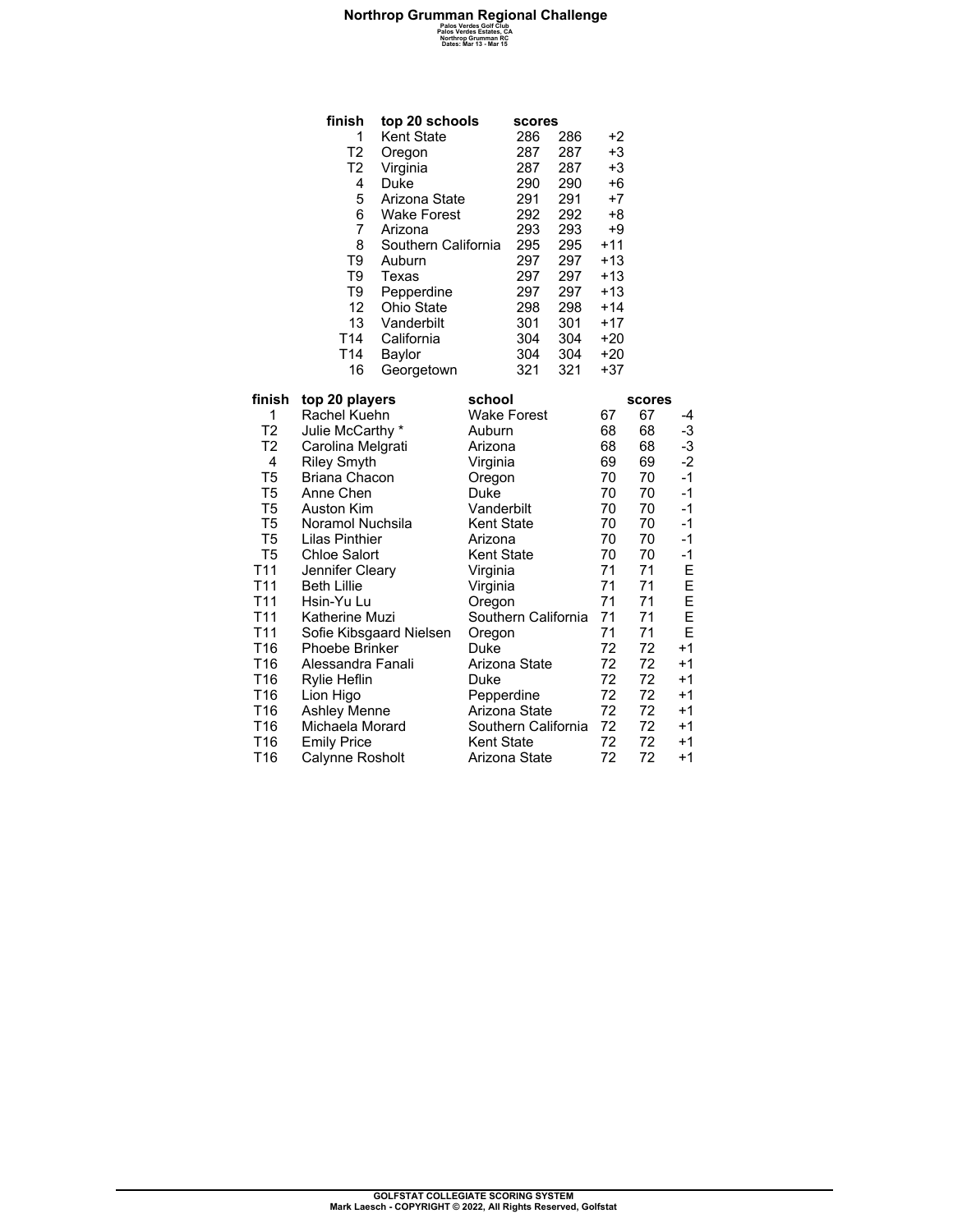| finish          | top 20 schools      | scores |     |       |
|-----------------|---------------------|--------|-----|-------|
| 1               | Kent State          | 286    | 286 | +2    |
| T <sub>2</sub>  | Oregon              | 287    | 287 | +3    |
| T <sub>2</sub>  | Virginia            | 287    | 287 | $+3$  |
| 4               | Duke                | 290    | 290 | $+6$  |
| 5               | Arizona State       | 291    | 291 | $+7$  |
| 6               | <b>Wake Forest</b>  | 292    | 292 | +8    |
| 7               | Arizona             | 293    | 293 | $+9$  |
| 8               | Southern California | 295    | 295 | $+11$ |
| T <sub>9</sub>  | Auburn              | 297    | 297 | $+13$ |
| T <sub>9</sub>  | Texas               | 297    | 297 | $+13$ |
| T <sub>9</sub>  | Pepperdine          | 297    | 297 | $+13$ |
| 12              | Ohio State          | 298    | 298 | $+14$ |
| 13              | Vanderbilt          | 301    | 301 | $+17$ |
| T <sub>14</sub> | California          | 304    | 304 | +20   |
| T14             | Baylor              | 304    | 304 | $+20$ |
| 16              | Georgetown          | 321    | 321 | $+37$ |
|                 |                     |        |     |       |

| finish          | top 20 players          | school              |    | <b>scores</b> |      |
|-----------------|-------------------------|---------------------|----|---------------|------|
| 1               | Rachel Kuehn            | Wake Forest         | 67 | 67            | -4   |
| T <sub>2</sub>  | Julie McCarthy *        | Auburn              | 68 | 68            | -3   |
| T <sub>2</sub>  | Carolina Melgrati       | Arizona             | 68 | 68            | -3   |
| 4               | <b>Riley Smyth</b>      | Virginia            | 69 | 69            | $-2$ |
| T5              | Briana Chacon           | Oregon              | 70 | 70            | $-1$ |
| T5              | Anne Chen               | Duke                | 70 | 70            | -1   |
| T <sub>5</sub>  | Auston Kim              | Vanderbilt          | 70 | 70            | -1   |
| T5              | Noramol Nuchsila        | <b>Kent State</b>   | 70 | 70            | -1   |
| T5              | Lilas Pinthier          | Arizona             | 70 | 70            | $-1$ |
| T5              | Chloe Salort            | Kent State          | 70 | 70            | -1   |
| T11             | Jennifer Cleary         | Virginia            | 71 | 71            | Е    |
| T <sub>11</sub> | <b>Beth Lillie</b>      | Virginia            | 71 | 71            | E    |
| T <sub>11</sub> | Hsin-Yu Lu              | Oregon              | 71 | 71            | E    |
| T <sub>11</sub> | Katherine Muzi          | Southern California | 71 | 71            | E    |
| T <sub>11</sub> | Sofie Kibsgaard Nielsen | Oregon              | 71 | 71            | E    |
| T16             | Phoebe Brinker          | Duke                | 72 | 72            | $+1$ |
| T16             | Alessandra Fanali       | Arizona State       | 72 | 72            | +1   |
| T16             | Rylie Heflin            | Duke                | 72 | 72            | +1   |
| T16             | Lion Higo               | Pepperdine          | 72 | 72            | +1   |
| T <sub>16</sub> | <b>Ashley Menne</b>     | Arizona State       | 72 | 72            | +1   |
| T16             | Michaela Morard         | Southern California | 72 | 72            | +1   |
| T16             | <b>Emily Price</b>      | <b>Kent State</b>   | 72 | 72            | +1   |
| T16             | Calynne Rosholt         | Arizona State       | 72 | 72            | +1   |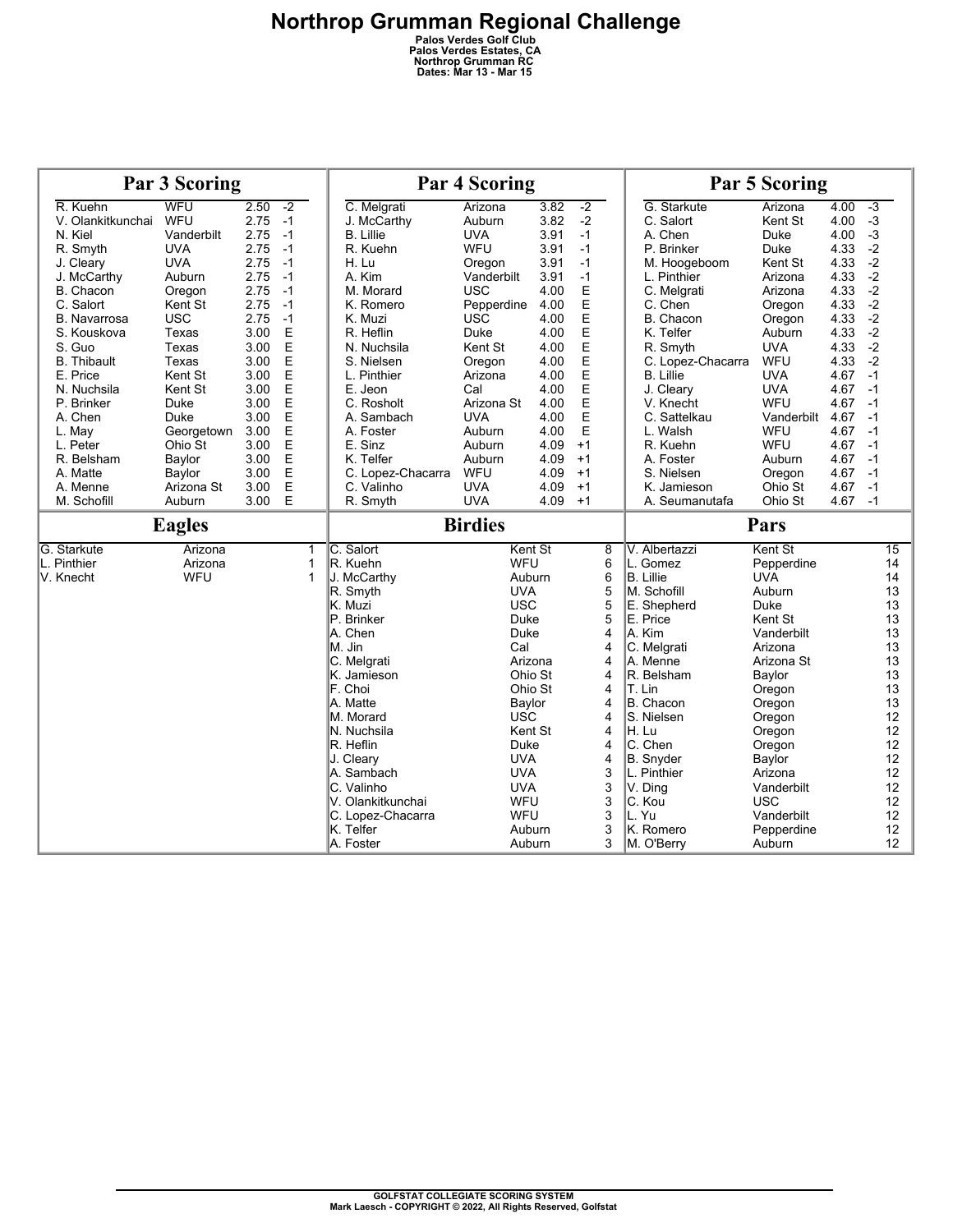| Par 3 Scoring       |               |      |      | <b>Par 4 Scoring</b> |                        |                  |      | <b>Par 5 Scoring</b> |                         |                      |      |                       |
|---------------------|---------------|------|------|----------------------|------------------------|------------------|------|----------------------|-------------------------|----------------------|------|-----------------------|
| R. Kuehn            | WFU           | 2.50 | $-2$ |                      | C. Melgrati            | Arizona          | 3.82 | $-2$                 | G. Starkute             | Arizona              | 4.00 | $-3$                  |
| V. Olankitkunchai   | WFU           | 2.75 | $-1$ |                      | J. McCarthy            | Auburn           | 3.82 | $-2$                 | C. Salort               | Kent St              | 4.00 | $-3$                  |
| N. Kiel             | Vanderbilt    | 2.75 | $-1$ |                      | <b>B.</b> Lillie       | <b>UVA</b>       | 3.91 | $-1$                 | A. Chen                 | Duke                 | 4.00 | $-3$                  |
| R. Smyth            | <b>UVA</b>    | 2.75 | $-1$ |                      | R. Kuehn               | WFU              | 3.91 | $-1$                 | P. Brinker              | Duke                 | 4.33 | $-2$                  |
| J. Cleary           | <b>UVA</b>    | 2.75 | $-1$ |                      | H. Lu                  | Oregon           | 3.91 | $-1$                 | M. Hoogeboom            | Kent St              | 4.33 | $-2$                  |
| J. McCarthy         | Auburn        | 2.75 | $-1$ |                      | A. Kim                 | Vanderbilt       | 3.91 | $-1$                 | L. Pinthier             | Arizona              | 4.33 | $-2$                  |
| B. Chacon           | Oregon        | 2.75 | $-1$ |                      | M. Morard              | <b>USC</b>       | 4.00 | E                    | C. Melgrati             | Arizona              | 4.33 | $-2$                  |
| C. Salort           | Kent St       | 2.75 | $-1$ |                      | K. Romero              | Pepperdine       | 4.00 | E                    | C. Chen                 | Oregon               | 4.33 | $-2$                  |
| <b>B.</b> Navarrosa | <b>USC</b>    | 2.75 | $-1$ |                      | K. Muzi                | <b>USC</b>       | 4.00 | E                    | B. Chacon               | Oregon               | 4.33 | $-2$                  |
| S. Kouskova         | Texas         | 3.00 | E    |                      | R. Heflin              | Duke             | 4.00 | E                    | K. Telfer               | Auburn               | 4.33 | $-2$                  |
| S. Guo              | Texas         | 3.00 | E    |                      | N. Nuchsila            | Kent St          | 4.00 | E                    | R. Smyth                | <b>UVA</b>           | 4.33 | $-2$                  |
| <b>B.</b> Thibault  | Texas         | 3.00 | E    |                      | S. Nielsen             | Oregon           | 4.00 | E                    | C. Lopez-Chacarra       | WFU                  | 4.33 | $-2$                  |
| E. Price            | Kent St       | 3.00 | E    |                      | L. Pinthier            | Arizona          | 4.00 | E                    | <b>B.</b> Lillie        | <b>UVA</b>           | 4.67 | $-1$                  |
| N. Nuchsila         | Kent St       | 3.00 | E    |                      | E. Jeon                | Cal              | 4.00 | E                    | J. Cleary               | <b>UVA</b>           | 4.67 | $-1$                  |
| P. Brinker          | Duke          | 3.00 | E    |                      | C. Rosholt             | Arizona St       | 4.00 | Ε                    | V. Knecht               | WFU                  | 4.67 | $-1$                  |
| A. Chen             | Duke          | 3.00 | E    |                      | A. Sambach             | <b>UVA</b>       | 4.00 | E                    | C. Sattelkau            | Vanderbilt           | 4.67 | $-1$                  |
| L. May              | Georgetown    | 3.00 | E    |                      | A. Foster              | Auburn           | 4.00 | E                    | L. Walsh                | WFU                  | 4.67 | $-1$                  |
| L. Peter            | Ohio St       | 3.00 | E    |                      | E. Sinz                | Auburn           | 4.09 | $+1$                 | R. Kuehn                | WFU                  | 4.67 | $-1$                  |
| R. Belsham          | Baylor        | 3.00 | E    |                      | K. Telfer              | Auburn           | 4.09 | $+1$                 | A. Foster               | Auburn               | 4.67 | $-1$                  |
| A. Matte            | Baylor        | 3.00 | E    |                      | C. Lopez-Chacarra      | WFU              | 4.09 | $+1$                 | S. Nielsen              | Oregon               | 4.67 | $-1$                  |
| A. Menne            | Arizona St    | 3.00 | E    |                      | C. Valinho             | <b>UVA</b>       | 4.09 | $+1$                 | K. Jamieson             | Ohio St              | 4.67 | $-1$                  |
| M. Schofill         | Auburn        | 3.00 | E    |                      | R. Smyth               | <b>UVA</b>       | 4.09 | $+1$                 | A. Seumanutafa          | Ohio St              | 4.67 | $-1$                  |
|                     |               |      |      |                      |                        |                  |      |                      |                         |                      |      |                       |
|                     | <b>Eagles</b> |      |      |                      |                        | <b>Birdies</b>   |      |                      |                         | Pars                 |      |                       |
| G. Starkute         | Arizona       |      |      | 1                    | C. Salort              | Kent St          |      | 8                    | V. Albertazzi           | Kent St              |      | $\overline{15}$       |
| L. Pinthier         | Arizona       |      |      | $\mathbf{1}$         | R. Kuehn               | <b>WFU</b>       |      | 6                    | L. Gomez                | Pepperdine           |      | 14                    |
| V. Knecht           | <b>WFU</b>    |      |      | 1                    | J. McCarthy            | Auburn           |      | 6                    | B. Lillie               | <b>UVA</b>           |      | 14                    |
|                     |               |      |      |                      | R. Smyth               | <b>UVA</b>       |      | 5                    | M. Schofill             | Auburn               |      | 13                    |
|                     |               |      |      |                      | K. Muzi                | <b>USC</b>       |      | 5                    | E. Shepherd             | Duke                 |      | 13                    |
|                     |               |      |      |                      | P. Brinker             | Duke             |      | 5                    | E. Price                | Kent St              |      | 13                    |
|                     |               |      |      |                      | A. Chen                | Duke             |      | 4                    | A. Kim                  | Vanderbilt           |      | 13                    |
|                     |               |      |      |                      | M. Jin                 | Cal              |      | 4                    | C. Melgrati             | Arizona              |      | 13                    |
|                     |               |      |      |                      | C. Melgrati            | Arizona          |      | $\overline{4}$       | A. Menne                | Arizona St           |      | 13                    |
|                     |               |      |      |                      | K. Jamieson            | Ohio St          |      | 4                    | R. Belsham              | Baylor               |      | 13                    |
|                     |               |      |      |                      | F. Choi                | Ohio St          |      | 4                    | T. Lin                  | Oregon               |      | 13                    |
|                     |               |      |      |                      | A. Matte               | Baylor           |      | 4                    | B. Chacon               | Oregon               |      | 13                    |
|                     |               |      |      |                      | M. Morard              | <b>USC</b>       |      | $\overline{4}$       | S. Nielsen              | Oregon               |      | 12                    |
|                     |               |      |      |                      | N. Nuchsila            | Kent St          |      | 4                    | H. Lu                   | Oregon               |      | 12                    |
|                     |               |      |      |                      | R. Heflin              | Duke             |      | 4                    | C. Chen                 | Oregon               |      | 12                    |
|                     |               |      |      |                      | J. Cleary              | <b>UVA</b>       |      | 4                    | B. Snyder               | Baylor               |      | 12                    |
|                     |               |      |      |                      | A. Sambach             | <b>UVA</b>       |      | 3                    | L. Pinthier             | Arizona              |      | $12 \overline{ }$     |
|                     |               |      |      |                      | C. Valinho             | <b>UVA</b>       |      | 3                    | V. Ding                 | Vanderbilt           |      | 12                    |
|                     |               |      |      |                      | V. Olankitkunchai      | WFU              |      | 3                    | C. Kou                  | <b>USC</b>           |      | 12                    |
|                     |               |      |      |                      | C. Lopez-Chacarra      | WFU              |      | 3                    | L. Yu                   | Vanderbilt           |      | $12 \overline{ }$     |
|                     |               |      |      |                      | K. Telfer<br>A. Foster | Auburn<br>Auburn |      | 3<br>3               | K. Romero<br>M. O'Berry | Pepperdine<br>Auburn |      | 12<br>12 <sup>°</sup> |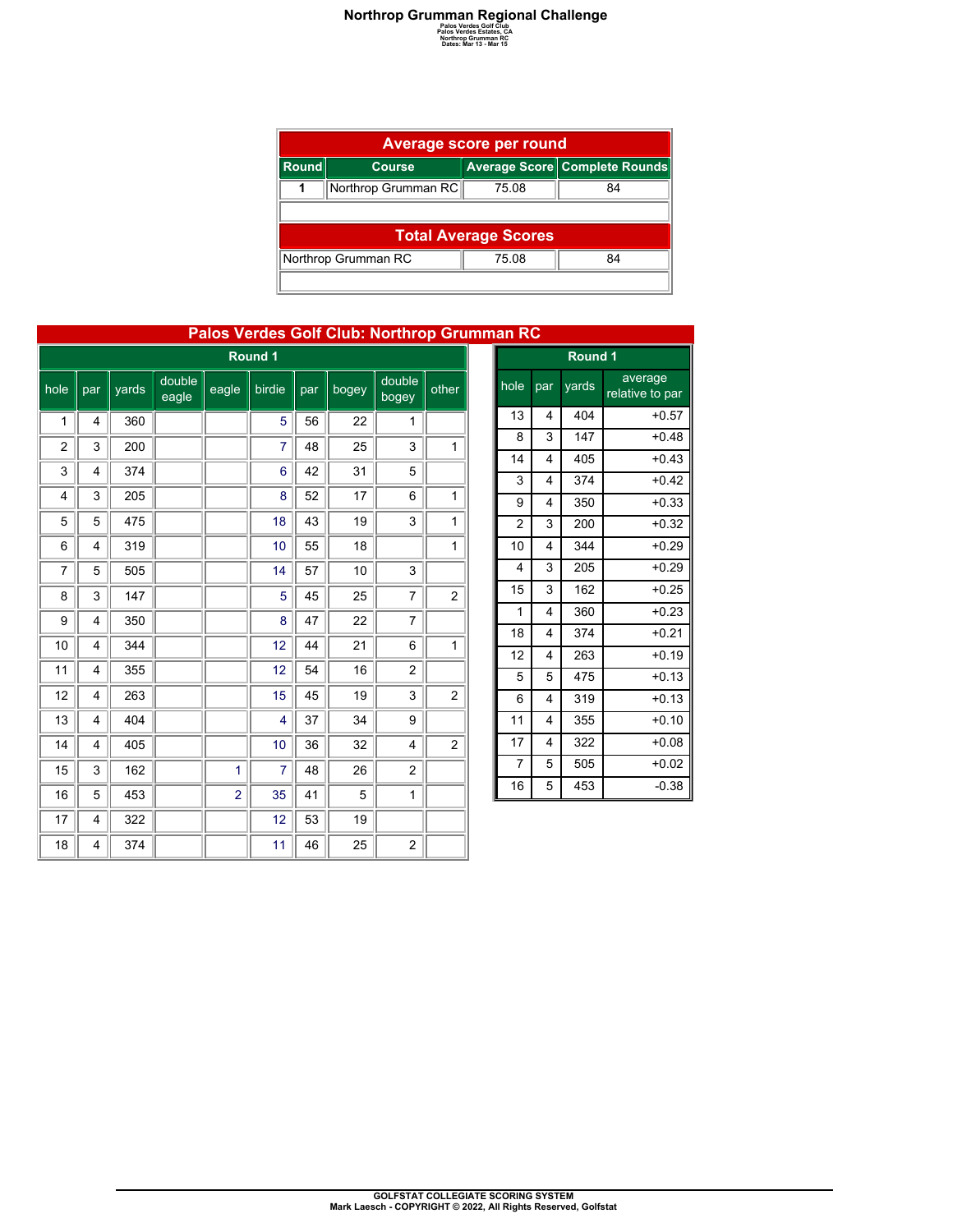| <b>Average score per round</b> |                                    |                             |                               |  |  |  |  |  |  |  |
|--------------------------------|------------------------------------|-----------------------------|-------------------------------|--|--|--|--|--|--|--|
| Round                          | <b>Course</b>                      |                             | Average Score Complete Rounds |  |  |  |  |  |  |  |
|                                | Northrop Grumman RC                | 75.08                       | 84                            |  |  |  |  |  |  |  |
|                                |                                    |                             |                               |  |  |  |  |  |  |  |
|                                |                                    | <b>Total Average Scores</b> |                               |  |  |  |  |  |  |  |
|                                | Northrop Grumman RC<br>75.08<br>84 |                             |                               |  |  |  |  |  |  |  |
|                                |                                    |                             |                               |  |  |  |  |  |  |  |

| Palos Verdes Golf Club: Northrop Grumman RC |     |       |                 |                |         |     |       |                 |                         |  |                         |   |
|---------------------------------------------|-----|-------|-----------------|----------------|---------|-----|-------|-----------------|-------------------------|--|-------------------------|---|
|                                             |     |       |                 |                | Round 1 |     |       |                 |                         |  |                         |   |
| hole                                        | par | yards | double<br>eagle | eagle          | birdie  | par | bogey | double<br>bogey | other                   |  | hole                    | p |
| 1                                           | 4   | 360   |                 |                | 5       | 56  | 22    | 1               |                         |  | 13                      |   |
| $\overline{2}$                              | 3   | 200   |                 |                | 7       | 48  | 25    | 3               | $\mathbf{1}$            |  | 8                       |   |
| 3                                           | 4   | 374   |                 |                | 6       | 42  | 31    | 5               |                         |  | 14<br>3                 |   |
| 4                                           | 3   | 205   |                 |                | 8       | 52  | 17    | 6               | $\mathbf{1}$            |  | 9                       |   |
| 5                                           | 5   | 475   |                 |                | 18      | 43  | 19    | 3               | 1                       |  | $\overline{2}$          |   |
| 6                                           | 4   | 319   |                 |                | 10      | 55  | 18    |                 | 1                       |  | 10                      |   |
| 7                                           | 5   | 505   |                 |                | 14      | 57  | 10    | 3               |                         |  | $\overline{\mathbf{4}}$ |   |
| 8                                           | 3   | 147   |                 |                | 5       | 45  | 25    | 7               | $\overline{\mathbf{c}}$ |  | 15                      |   |
| 9                                           | 4   | 350   |                 |                | 8       | 47  | 22    | 7               |                         |  | 1                       |   |
| 10                                          | 4   | 344   |                 |                | 12      | 44  | 21    | 6               | $\mathbf{1}$            |  | 18<br>12                |   |
| 11                                          | 4   | 355   |                 |                | 12      | 54  | 16    | $\overline{2}$  |                         |  | 5                       |   |
| 12                                          | 4   | 263   |                 |                | 15      | 45  | 19    | 3               | $\overline{\mathbf{c}}$ |  | 6                       |   |
| 13                                          | 4   | 404   |                 |                | 4       | 37  | 34    | 9               |                         |  | 11                      |   |
| 14                                          | 4   | 405   |                 |                | 10      | 36  | 32    | 4               | $\overline{\mathbf{c}}$ |  | 17                      |   |
| 15                                          | 3   | 162   |                 | $\mathbf{1}$   | 7       | 48  | 26    | $\overline{c}$  |                         |  | $\overline{7}$          |   |
| 16                                          | 5   | 453   |                 | $\overline{2}$ | 35      | 41  | 5     | $\mathbf{1}$    |                         |  | 16                      |   |
| 17                                          | 4   | 322   |                 |                | 12      | 53  | 19    |                 |                         |  |                         |   |
| 18                                          | 4   | 374   |                 |                | 11      | 46  | 25    | $\overline{c}$  |                         |  |                         |   |

| nan RC         |                         |         |                            |
|----------------|-------------------------|---------|----------------------------|
|                |                         | Round 1 |                            |
| hole           | par                     | yards   | average<br>relative to par |
| 13             | 4                       | 404     | $+0.57$                    |
| 8              | 3                       | 147     | $+0.48$                    |
| 14             | $\overline{\mathbf{4}}$ | 405     | $+0.43$                    |
| 3              | $\overline{\mathbf{4}}$ | 374     | $+0.42$                    |
| 9              | 4                       | 350     | $+0.33$                    |
| $\overline{c}$ | 3                       | 200     | $+0.32$                    |
| 10             | 4                       | 344     | $+0.29$                    |
| 4              | 3                       | 205     | $+0.29$                    |
| 15             | 3                       | 162     | $+0.25$                    |
| 1              | $\overline{4}$          | 360     | $+0.23$                    |
| 18             | 4                       | 374     | $+0.21$                    |
| 12             | $\overline{4}$          | 263     | $+0.19$                    |
| 5              | 5                       | 475     | $+0.13$                    |
| 6              | 4                       | 319     | $+0.13$                    |
| 11             | 4                       | 355     | $+0.10$                    |
| 17             | 4                       | 322     | $+0.08$                    |
| 7              | 5                       | 505     | $+0.02$                    |
| 16             | 5                       | 453     | $-0.38$                    |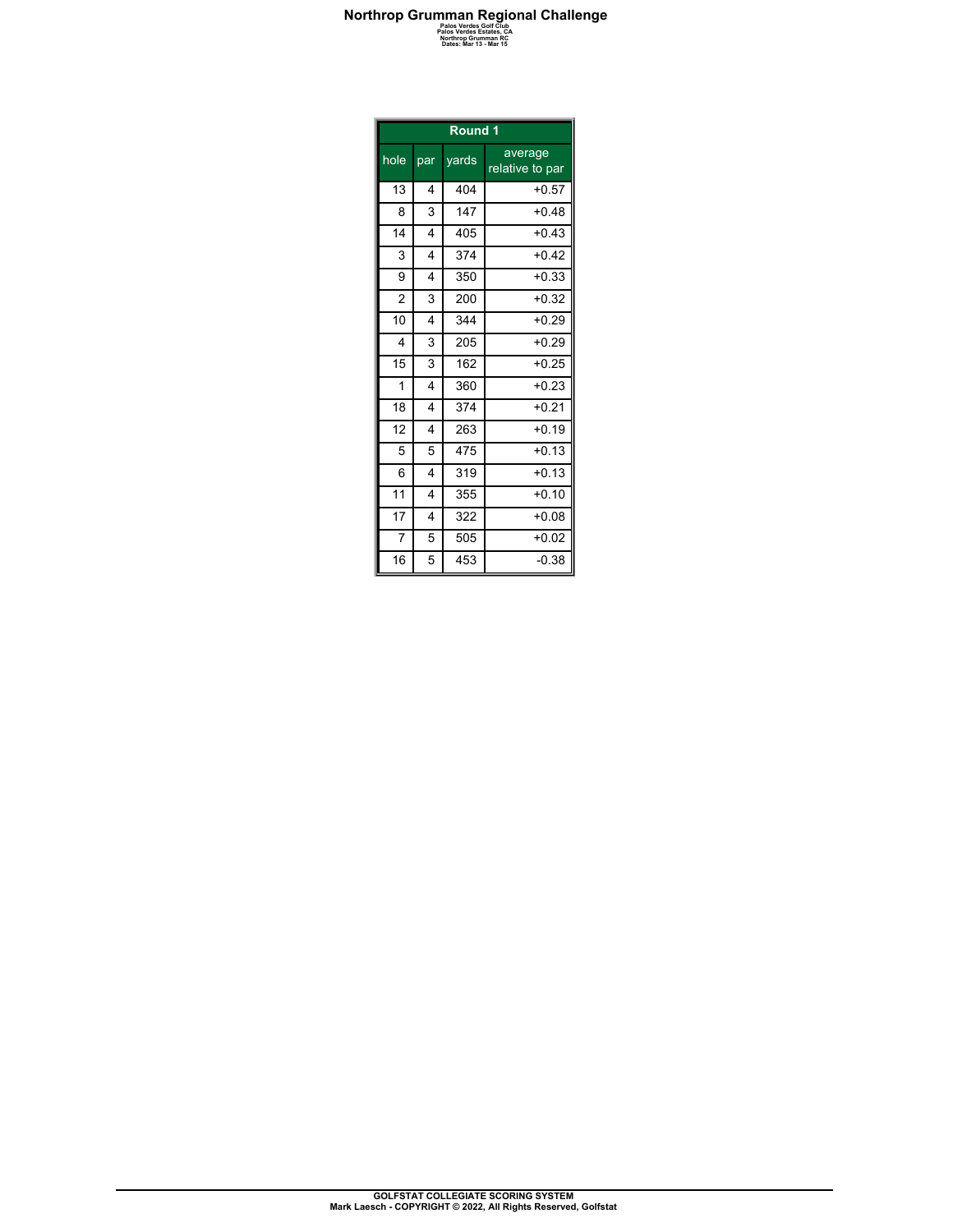| Round 1        |                         |       |                            |  |  |  |  |
|----------------|-------------------------|-------|----------------------------|--|--|--|--|
| hole           | par                     | yards | average<br>relative to par |  |  |  |  |
| 13             | 4                       | 404   | $+0.57$                    |  |  |  |  |
| 8              | 3                       | 147   | $+0.48$                    |  |  |  |  |
| 14             | $\overline{\mathbf{4}}$ | 405   | $+0.43$                    |  |  |  |  |
| 3              | $\overline{\mathbf{4}}$ | 374   | $+0.42$                    |  |  |  |  |
| 9              | 4                       | 350   | $+0.33$                    |  |  |  |  |
| $\overline{2}$ | 3                       | 200   | $+0.32$                    |  |  |  |  |
| 10             | 4                       | 344   | $+0.29$                    |  |  |  |  |
| 4              | 3                       | 205   | $+0.29$                    |  |  |  |  |
| 15             | 3                       | 162   | $+0.25$                    |  |  |  |  |
| 1              | 4                       | 360   | $+0.23$                    |  |  |  |  |
| 18             | $\overline{4}$          | 374   | $+0.21$                    |  |  |  |  |
| 12             | $\overline{\mathbf{4}}$ | 263   | $+0.19$                    |  |  |  |  |
| 5              | 5                       | 475   | $+0.13$                    |  |  |  |  |
| 6              | 4                       | 319   | $+0.13$                    |  |  |  |  |
| 11             | 4                       | 355   | $+0.10$                    |  |  |  |  |
| 17             | 4                       | 322   | $+0.08$                    |  |  |  |  |
| $\overline{7}$ | 5                       | 505   | $+0.02$                    |  |  |  |  |
| 16             | 5                       | 453   | $-0.38$                    |  |  |  |  |